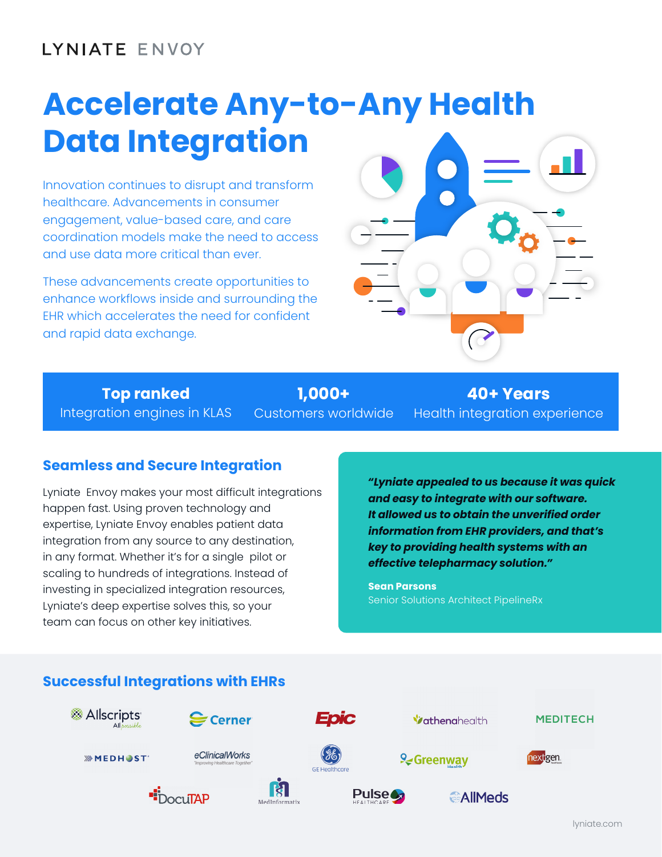# LYNIATE ENVOY

# **Accelerate Any-to-Any Health Data Integration**

Innovation continues to disrupt and transform healthcare. Advancements in consumer engagement, value-based care, and care coordination models make the need to access and use data more critical than ever.

These advancements create opportunities to enhance workflows inside and surrounding the EHR which accelerates the need for confident and rapid data exchange.



**Top ranked** Integration engines in KLAS

**1,000+** Customers worldwide

**40+ Years** Health integration experience

## **Seamless and Secure Integration**

Lyniate Envoy makes your most difficult integrations happen fast. Using proven technology and expertise, Lyniate Envoy enables patient data integration from any source to any destination, in any format. Whether it's for a single pilot or scaling to hundreds of integrations. Instead of investing in specialized integration resources, Lyniate's deep expertise solves this, so your team can focus on other key initiatives.

*"Lyniate appealed to us because it was quick and easy to integrate with our software. It allowed us to obtain the unverified order information from EHR providers, and that's key to providing health systems with an effective telepharmacy solution."*

**Sean Parsons** Senior Solutions Architect PipelineRx